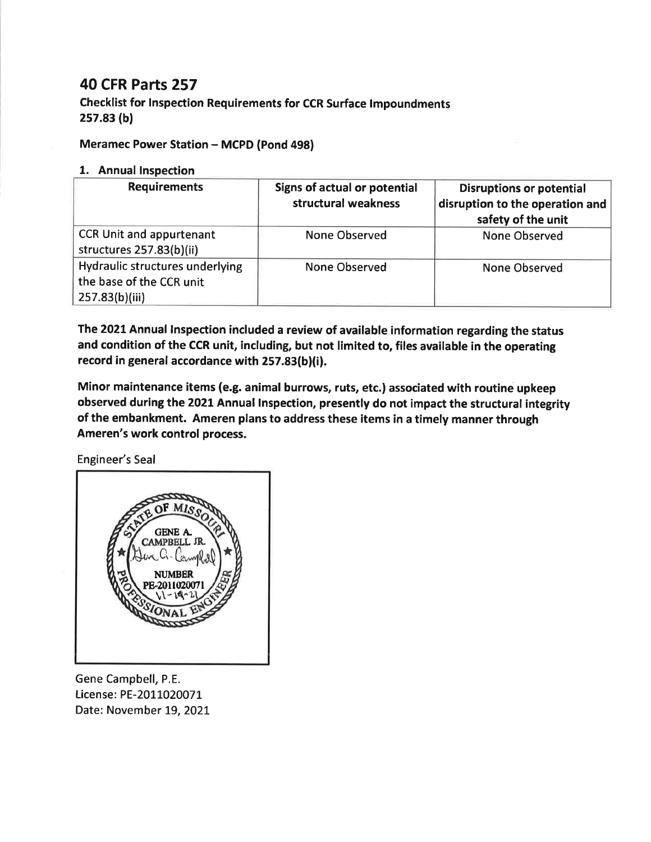## **40 CFR Parts 257**

**Checklist for Inspection Requirements for CCR Surface Impoundments**  $257.83(b)$ 

## **Meramec Power Station - MCPD (Pond 498)**

## 1. Annual Inspection

| <b>Requirements</b>                                                           | Signs of actual or potential<br>structural weakness | <b>Disruptions or potential</b><br>disruption to the operation and<br>safety of the unit |
|-------------------------------------------------------------------------------|-----------------------------------------------------|------------------------------------------------------------------------------------------|
| CCR Unit and appurtenant<br>structures 257.83(b)(ii)                          | None Observed                                       | <b>None Observed</b>                                                                     |
| Hydraulic structures underlying<br>the base of the CCR unit<br>257.83(b)(iii) | <b>None Observed</b>                                | <b>None Observed</b>                                                                     |

The 2021 Annual Inspection included a review of available information regarding the status and condition of the CCR unit, including, but not limited to, files available in the operating record in general accordance with 257.83(b)(i).

Minor maintenance items (e.g. animal burrows, ruts, etc.) associated with routine upkeep observed during the 2021 Annual Inspection, presently do not impact the structural integrity of the embankment. Ameren plans to address these items in a timely manner through Ameren's work control process.

**Engineer's Seal** 



Gene Campbell, P.E. License: PE-2011020071 Date: November 19, 2021